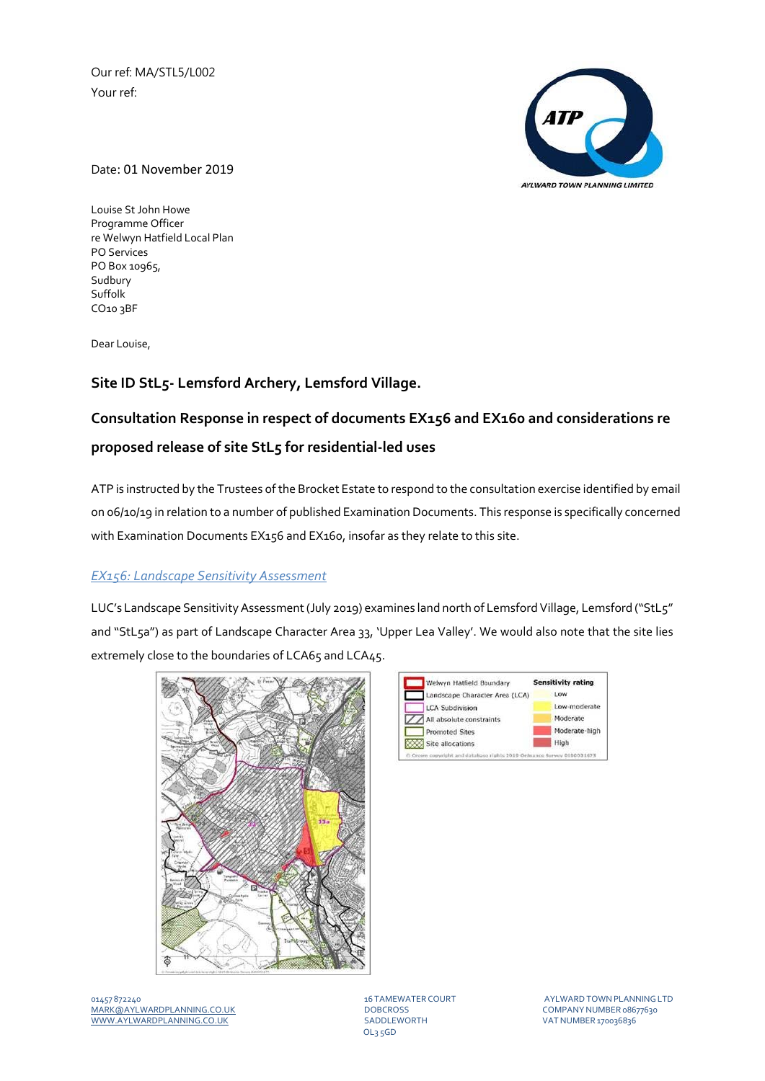Our ref: MA/STL5/L002 Your ref:



Date: 01 November 2019

Louise St John Howe Programme Officer re Welwyn Hatfield Local Plan PO Services PO Box 10965, Sudbury Suffolk CO10 3BF

Dear Louise,

## **Site ID StL5‐ Lemsford Archery, Lemsford Village.**

# **Consultation Response in respect of documents EX156 and EX160 and considerations re proposed release of site StL5 for residential‐led uses**

ATP is instructed by the Trustees of the Brocket Estate to respond to the consultation exercise identified by email on 06/10/19 in relation to a number of published Examination Documents. This response is specifically concerned with Examination Documents EX156 and EX160, insofar as they relate to this site.

### *EX156: Landscape Sensitivity Assessment*

LUC's Landscape Sensitivity Assessment (July 2019) examines land north of Lemsford Village, Lemsford ("StL5" and "StL5a") as part of Landscape Character Area 33, 'Upper Lea Valley'. We would also note that the site lies extremely close to the boundaries of LCA65 and LCA45.





OL3 5GD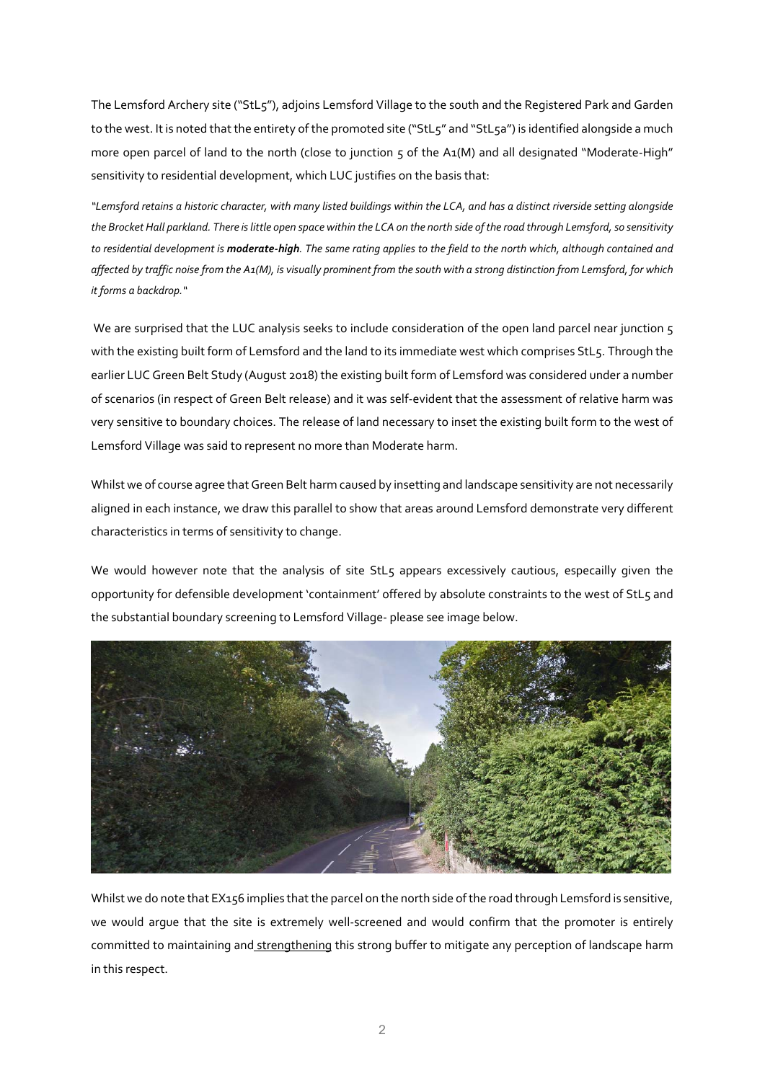The Lemsford Archery site ("StL5"), adjoins Lemsford Village to the south and the Registered Park and Garden to the west. It is noted that the entirety of the promoted site ("StL5" and "StL5a") is identified alongside a much more open parcel of land to the north (close to junction 5 of the A1(M) and all designated "Moderate-High" sensitivity to residential development, which LUC justifies on the basis that:

"Lemsford retains a historic character, with many listed buildings within the LCA, and has a distinct riverside setting alongside the Brocket Hall parkland. There is little open space within the LCA on the north side of the road through Lemsford, so sensitivity to residential development is **moderate-high**. The same rating applies to the field to the north which, although contained and affected by traffic noise from the A1(M), is visually prominent from the south with a strong distinction from Lemsford, for which *it forms a backdrop."* 

We are surprised that the LUC analysis seeks to include consideration of the open land parcel near junction 5 with the existing built form of Lemsford and the land to its immediate west which comprises StL5. Through the earlier LUC Green Belt Study (August 2018) the existing built form of Lemsford was considered under a number of scenarios (in respect of Green Belt release) and it was self‐evident that the assessment of relative harm was very sensitive to boundary choices. The release of land necessary to inset the existing built form to the west of Lemsford Village was said to represent no more than Moderate harm.

Whilst we of course agree that Green Belt harm caused by insetting and landscape sensitivity are not necessarily aligned in each instance, we draw this parallel to show that areas around Lemsford demonstrate very different characteristics in terms of sensitivity to change.

We would however note that the analysis of site StL5 appears excessively cautious, especailly given the opportunity for defensible development 'containment' offered by absolute constraints to the west of StL5 and the substantial boundary screening to Lemsford Village‐ please see image below.



Whilst we do note that EX156 implies that the parcel on the north side of the road through Lemsford is sensitive, we would argue that the site is extremely well-screened and would confirm that the promoter is entirely committed to maintaining and strengthening this strong buffer to mitigate any perception of landscape harm in this respect.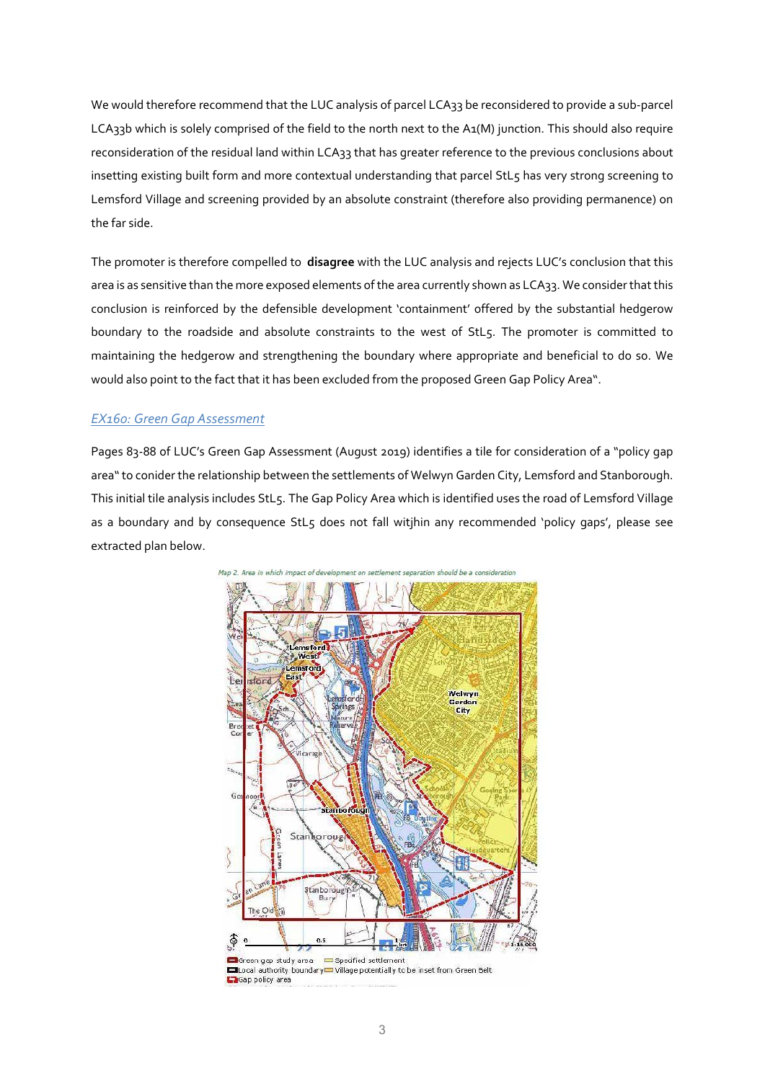We would therefore recommend that the LUC analysis of parcel LCA33 be reconsidered to provide a sub‐parcel LCA33b which is solely comprised of the field to the north next to the A1(M) junction. This should also require reconsideration of the residual land within LCA33 that has greater reference to the previous conclusions about insetting existing built form and more contextual understanding that parcel StL5 has very strong screening to Lemsford Village and screening provided by an absolute constraint (therefore also providing permanence) on the far side.

The promoter is therefore compelled to **disagree** with the LUC analysis and rejects LUC's conclusion that this area is as sensitive than the more exposed elements of the area currently shown as LCA33. We consider that this conclusion is reinforced by the defensible development 'containment' offered by the substantial hedgerow boundary to the roadside and absolute constraints to the west of StL5. The promoter is committed to maintaining the hedgerow and strengthening the boundary where appropriate and beneficial to do so. We would also point to the fact that it has been excluded from the proposed Green Gap Policy Area".

### *EX160: Green Gap Assessment*

Pages 83‐88 of LUC's Green Gap Assessment (August 2019) identifies a tile for consideration of a "policy gap area"to conider the relationship between the settlements of Welwyn Garden City, Lemsford and Stanborough. This initial tile analysis includes StL5. The Gap Policy Area which is identified uses the road of Lemsford Village as a boundary and by consequence StL5 does not fall witjhin any recommended 'policy gaps', please see extracted plan below.